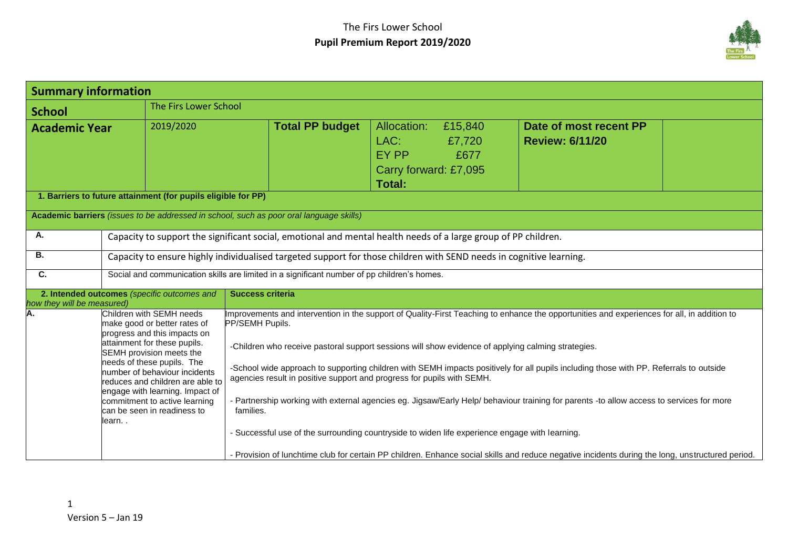

| <b>Summary information</b>             |                                                                                                                                                                                                                                                                                                                                                                        |                                                                                                                                                                                                                                                                                                                                                                                                                                                                                                                                                                                                                                                                                                                                                                                                                                                                                                         |                                                                        |                           |                                                  |  |
|----------------------------------------|------------------------------------------------------------------------------------------------------------------------------------------------------------------------------------------------------------------------------------------------------------------------------------------------------------------------------------------------------------------------|---------------------------------------------------------------------------------------------------------------------------------------------------------------------------------------------------------------------------------------------------------------------------------------------------------------------------------------------------------------------------------------------------------------------------------------------------------------------------------------------------------------------------------------------------------------------------------------------------------------------------------------------------------------------------------------------------------------------------------------------------------------------------------------------------------------------------------------------------------------------------------------------------------|------------------------------------------------------------------------|---------------------------|--------------------------------------------------|--|
| The Firs Lower School<br><b>School</b> |                                                                                                                                                                                                                                                                                                                                                                        |                                                                                                                                                                                                                                                                                                                                                                                                                                                                                                                                                                                                                                                                                                                                                                                                                                                                                                         |                                                                        |                           |                                                  |  |
| <b>Academic Year</b>                   | 2019/2020                                                                                                                                                                                                                                                                                                                                                              | <b>Total PP budget</b>                                                                                                                                                                                                                                                                                                                                                                                                                                                                                                                                                                                                                                                                                                                                                                                                                                                                                  | Allocation:<br>LAC:<br>EY PP<br>Carry forward: £7,095<br><b>Total:</b> | £15,840<br>£7,720<br>£677 | Date of most recent PP<br><b>Review: 6/11/20</b> |  |
|                                        | 1. Barriers to future attainment (for pupils eligible for PP)                                                                                                                                                                                                                                                                                                          |                                                                                                                                                                                                                                                                                                                                                                                                                                                                                                                                                                                                                                                                                                                                                                                                                                                                                                         |                                                                        |                           |                                                  |  |
|                                        |                                                                                                                                                                                                                                                                                                                                                                        | Academic barriers (issues to be addressed in school, such as poor oral language skills)                                                                                                                                                                                                                                                                                                                                                                                                                                                                                                                                                                                                                                                                                                                                                                                                                 |                                                                        |                           |                                                  |  |
| Α.                                     |                                                                                                                                                                                                                                                                                                                                                                        | Capacity to support the significant social, emotional and mental health needs of a large group of PP children.                                                                                                                                                                                                                                                                                                                                                                                                                                                                                                                                                                                                                                                                                                                                                                                          |                                                                        |                           |                                                  |  |
| В.                                     |                                                                                                                                                                                                                                                                                                                                                                        | Capacity to ensure highly individualised targeted support for those children with SEND needs in cognitive learning.                                                                                                                                                                                                                                                                                                                                                                                                                                                                                                                                                                                                                                                                                                                                                                                     |                                                                        |                           |                                                  |  |
| C.                                     |                                                                                                                                                                                                                                                                                                                                                                        | Social and communication skills are limited in a significant number of pp children's homes.                                                                                                                                                                                                                                                                                                                                                                                                                                                                                                                                                                                                                                                                                                                                                                                                             |                                                                        |                           |                                                  |  |
| how they will be measured)             | 2. Intended outcomes (specific outcomes and                                                                                                                                                                                                                                                                                                                            | <b>Success criteria</b>                                                                                                                                                                                                                                                                                                                                                                                                                                                                                                                                                                                                                                                                                                                                                                                                                                                                                 |                                                                        |                           |                                                  |  |
| А.                                     | Children with SEMH needs<br>make good or better rates of<br>progress and this impacts on<br>attainment for these pupils.<br>SEMH provision meets the<br>needs of these pupils. The<br>number of behaviour incidents<br>reduces and children are able to<br>engage with learning. Impact of<br>commitment to active learning<br>can be seen in readiness to<br>learn. . | Improvements and intervention in the support of Quality-First Teaching to enhance the opportunities and experiences for all, in addition to<br>PP/SEMH Pupils.<br>-Children who receive pastoral support sessions will show evidence of applying calming strategies.<br>-School wide approach to supporting children with SEMH impacts positively for all pupils including those with PP. Referrals to outside<br>agencies result in positive support and progress for pupils with SEMH.<br>- Partnership working with external agencies eg. Jigsaw/Early Help/ behaviour training for parents -to allow access to services for more<br>families.<br>- Successful use of the surrounding countryside to widen life experience engage with learning.<br>- Provision of lunchtime club for certain PP children. Enhance social skills and reduce negative incidents during the long, unstructured period. |                                                                        |                           |                                                  |  |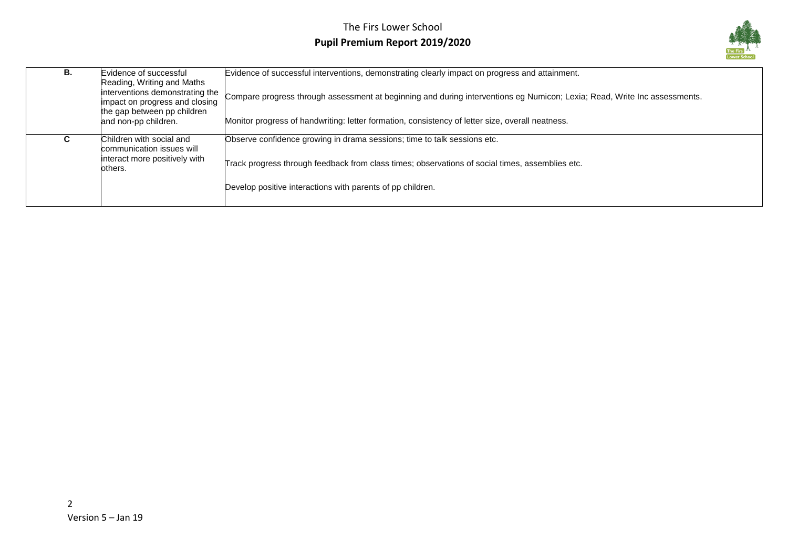## The Firs Lower School **Pupil Premium Report 2019/2020**



| В. | Evidence of successful<br>Reading, Writing and Maths<br>interventions demonstrating the<br>impact on progress and closing<br>the gap between pp children<br>and non-pp children. | Evidence of successful interventions, demonstrating clearly impact on progress and attainment.<br>Compare progress through assessment at beginning and during interventions eg Numicon; Lexia; Read, Write Inc assessments.<br>Monitor progress of handwriting: letter formation, consistency of letter size, overall neatness. |
|----|----------------------------------------------------------------------------------------------------------------------------------------------------------------------------------|---------------------------------------------------------------------------------------------------------------------------------------------------------------------------------------------------------------------------------------------------------------------------------------------------------------------------------|
| U  | Children with social and<br>communication issues will<br>interact more positively with<br>others.                                                                                | Observe confidence growing in drama sessions; time to talk sessions etc.<br>Track progress through feedback from class times; observations of social times, assemblies etc.<br>Develop positive interactions with parents of pp children.                                                                                       |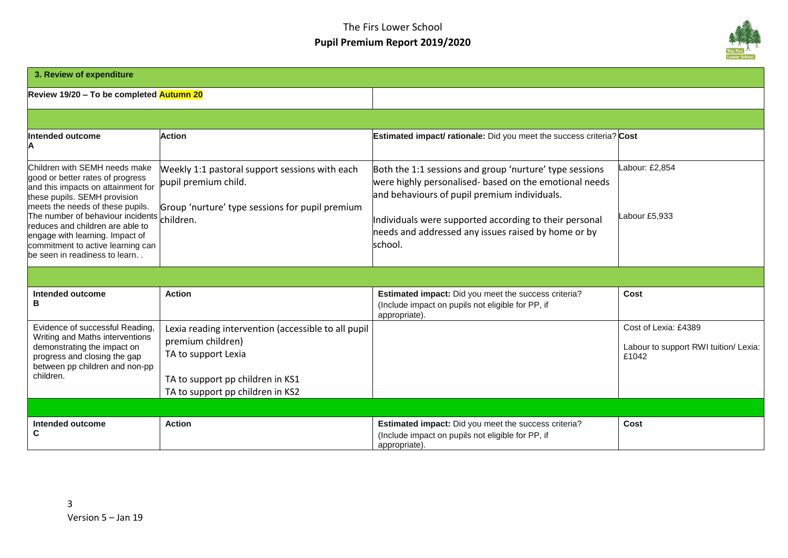## The Firs Lower School **Pupil Premium Report 2019/2020**



| 3. Review of expenditure                                                                                                                                                                                                                                                                                                                                                |                                                                                                                                                                         |                                                                                                                                                                                                                                                                                               |                                                                        |
|-------------------------------------------------------------------------------------------------------------------------------------------------------------------------------------------------------------------------------------------------------------------------------------------------------------------------------------------------------------------------|-------------------------------------------------------------------------------------------------------------------------------------------------------------------------|-----------------------------------------------------------------------------------------------------------------------------------------------------------------------------------------------------------------------------------------------------------------------------------------------|------------------------------------------------------------------------|
| Review 19/20 - To be completed Autumn 20                                                                                                                                                                                                                                                                                                                                |                                                                                                                                                                         |                                                                                                                                                                                                                                                                                               |                                                                        |
|                                                                                                                                                                                                                                                                                                                                                                         |                                                                                                                                                                         |                                                                                                                                                                                                                                                                                               |                                                                        |
| Intended outcome<br>Α                                                                                                                                                                                                                                                                                                                                                   | <b>Action</b>                                                                                                                                                           | <b>Estimated impact/ rationale:</b> Did you meet the success criteria? Cost                                                                                                                                                                                                                   |                                                                        |
| Children with SEMH needs make<br>good or better rates of progress<br>and this impacts on attainment for<br>these pupils. SEMH provision<br>meets the needs of these pupils.<br>The number of behaviour incidents children.<br>reduces and children are able to<br>engage with learning. Impact of<br>commitment to active learning can<br>be seen in readiness to learn | Weekly 1:1 pastoral support sessions with each<br>pupil premium child.<br>Group 'nurture' type sessions for pupil premium                                               | Both the 1:1 sessions and group 'nurture' type sessions<br>were highly personalised- based on the emotional needs<br>and behaviours of pupil premium individuals.<br>Individuals were supported according to their personal<br>needs and addressed any issues raised by home or by<br>school. | Labour: £2,854<br>Labour £5,933                                        |
|                                                                                                                                                                                                                                                                                                                                                                         |                                                                                                                                                                         |                                                                                                                                                                                                                                                                                               |                                                                        |
| Intended outcome<br>в                                                                                                                                                                                                                                                                                                                                                   | <b>Action</b>                                                                                                                                                           | Estimated impact: Did you meet the success criteria?<br>(Include impact on pupils not eligible for PP, if<br>appropriate).                                                                                                                                                                    | Cost                                                                   |
| Evidence of successful Reading,<br>Writing and Maths interventions<br>demonstrating the impact on<br>progress and closing the gap<br>between pp children and non-pp<br>children.                                                                                                                                                                                        | Lexia reading intervention (accessible to all pupil<br>premium children)<br>TA to support Lexia<br>TA to support pp children in KS1<br>TA to support pp children in KS2 |                                                                                                                                                                                                                                                                                               | Cost of Lexia: £4389<br>Labour to support RWI tuition/ Lexia:<br>£1042 |
|                                                                                                                                                                                                                                                                                                                                                                         |                                                                                                                                                                         |                                                                                                                                                                                                                                                                                               |                                                                        |
| Intended outcome<br>С                                                                                                                                                                                                                                                                                                                                                   | <b>Action</b>                                                                                                                                                           | Estimated impact: Did you meet the success criteria?<br>(Include impact on pupils not eligible for PP, if<br>appropriate).                                                                                                                                                                    | Cost                                                                   |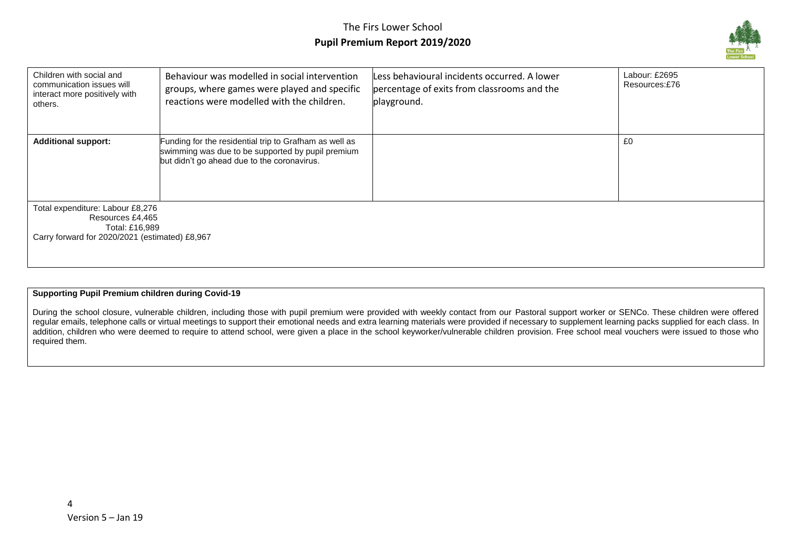

| Children with social and<br>communication issues will<br>interact more positively with<br>others.                        | Behaviour was modelled in social intervention<br>groups, where games were played and specific<br>reactions were modelled with the children.                | Less behavioural incidents occurred. A lower<br>percentage of exits from classrooms and the<br>playground. | Labour: £2695<br>Resources:£76 |
|--------------------------------------------------------------------------------------------------------------------------|------------------------------------------------------------------------------------------------------------------------------------------------------------|------------------------------------------------------------------------------------------------------------|--------------------------------|
| <b>Additional support:</b>                                                                                               | Funding for the residential trip to Grafham as well as<br>swimming was due to be supported by pupil premium<br>but didn't go ahead due to the coronavirus. |                                                                                                            | £0                             |
| Total expenditure: Labour £8,276<br>Resources £4,465<br>Total: £16,989<br>Carry forward for 2020/2021 (estimated) £8,967 |                                                                                                                                                            |                                                                                                            |                                |

#### **Supporting Pupil Premium children during Covid-19**

During the school closure, vulnerable children, including those with pupil premium were provided with weekly contact from our Pastoral support worker or SENCo. These children were offered regular emails, telephone calls or virtual meetings to support their emotional needs and extra learning materials were provided if necessary to supplement learning packs supplied for each class. In addition, children who were deemed to require to attend school, were given a place in the school keyworker/vulnerable children provision. Free school meal vouchers were issued to those who required them.